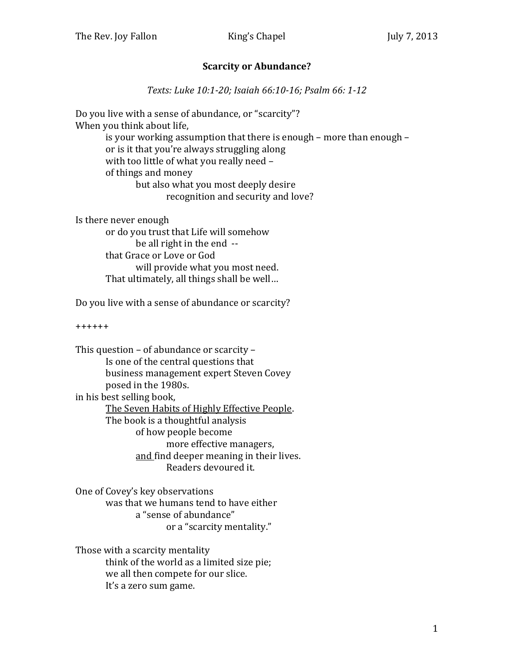## **Scarcity or Abundance?**

*Texts: Luke 10:1-20; Isaiah 66:10-16; Psalm 66: 1-12*

Do you live with a sense of abundance, or "scarcity"? When you think about life, is your working assumption that there is enough – more than enough – or is it that you're always struggling along with too little of what you really need – of things and money but also what you most deeply desire recognition and security and love?

Is there never enough or do you trust that Life will somehow be all right in the end - that Grace or Love or God will provide what you most need. That ultimately, all things shall be well…

Do you live with a sense of abundance or scarcity?

++++++

This question – of abundance or scarcity – Is one of the central questions that business management expert Steven Covey posed in the 1980s. in his best selling book, The Seven Habits of Highly Effective People. The book is a thoughtful analysis of how people become more effective managers, and find deeper meaning in their lives. Readers devoured it.

One of Covey's key observations was that we humans tend to have either a "sense of abundance" or a "scarcity mentality."

Those with a scarcity mentality think of the world as a limited size pie; we all then compete for our slice. It's a zero sum game.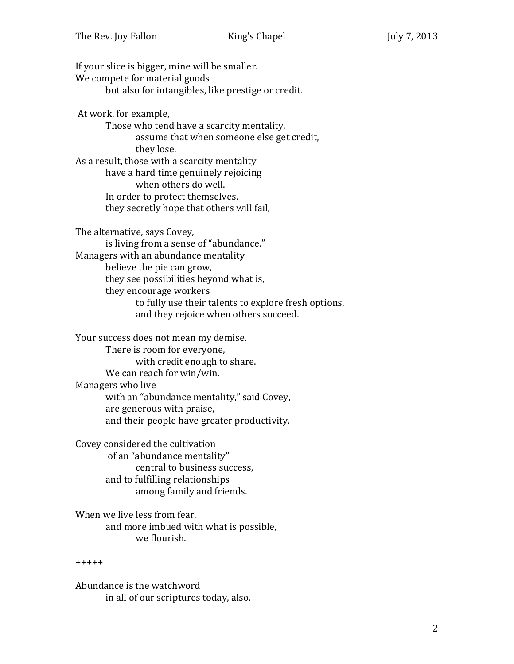If your slice is bigger, mine will be smaller. We compete for material goods but also for intangibles, like prestige or credit. At work, for example, Those who tend have a scarcity mentality, assume that when someone else get credit, they lose. As a result, those with a scarcity mentality have a hard time genuinely rejoicing when others do well. In order to protect themselves. they secretly hope that others will fail, The alternative, says Covey, is living from a sense of "abundance." Managers with an abundance mentality believe the pie can grow, they see possibilities beyond what is, they encourage workers to fully use their talents to explore fresh options, and they rejoice when others succeed.

Your success does not mean my demise. There is room for everyone, with credit enough to share. We can reach for win/win. Managers who live with an "abundance mentality," said Covey, are generous with praise, and their people have greater productivity.

Covey considered the cultivation of an "abundance mentality" central to business success, and to fulfilling relationships among family and friends.

When we live less from fear, and more imbued with what is possible, we flourish.

## +++++

Abundance is the watchword in all of our scriptures today, also.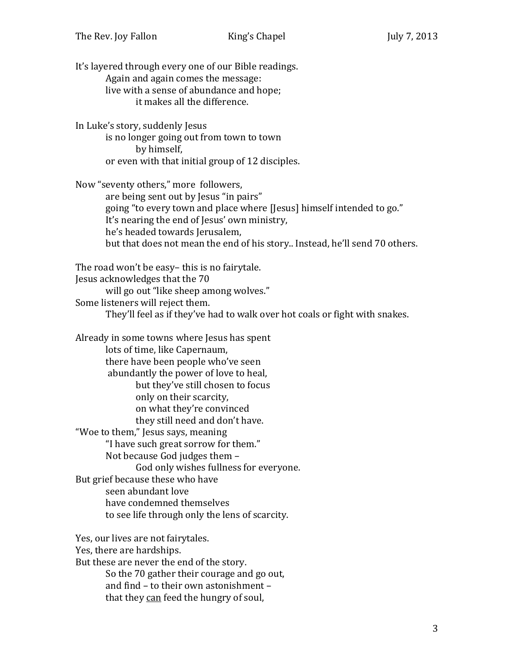It's layered through every one of our Bible readings. Again and again comes the message: live with a sense of abundance and hope; it makes all the difference. In Luke's story, suddenly Jesus is no longer going out from town to town by himself, or even with that initial group of 12 disciples. Now "seventy others," more followers, are being sent out by Jesus "in pairs" going "to every town and place where [Jesus] himself intended to go." It's nearing the end of Jesus' own ministry, he's headed towards Jerusalem, but that does not mean the end of his story.. Instead, he'll send 70 others. The road won't be easy– this is no fairytale. Jesus acknowledges that the 70 will go out "like sheep among wolves." Some listeners will reject them. They'll feel as if they've had to walk over hot coals or fight with snakes. Already in some towns where Jesus has spent lots of time, like Capernaum, there have been people who've seen abundantly the power of love to heal, but they've still chosen to focus only on their scarcity, on what they're convinced they still need and don't have. "Woe to them," Jesus says, meaning "I have such great sorrow for them." Not because God judges them – God only wishes fullness for everyone. But grief because these who have seen abundant love have condemned themselves to see life through only the lens of scarcity. Yes, our lives are not fairytales. Yes, there are hardships. But these are never the end of the story. So the 70 gather their courage and go out, and find – to their own astonishment – that they can feed the hungry of soul,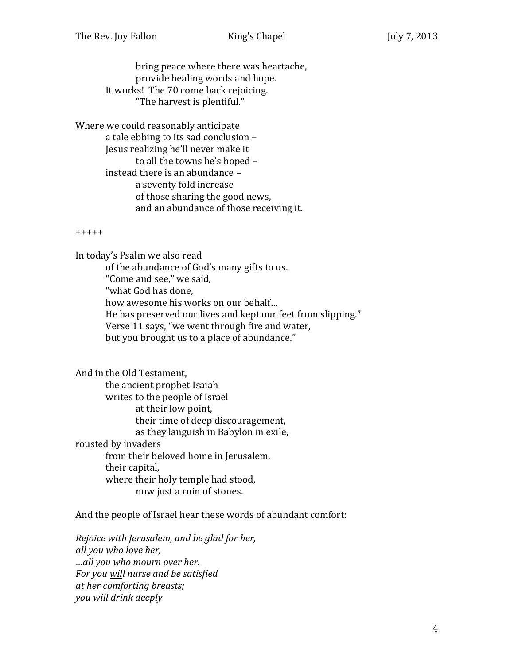bring peace where there was heartache, provide healing words and hope. It works! The 70 come back rejoicing. "The harvest is plentiful."

Where we could reasonably anticipate a tale ebbing to its sad conclusion – Jesus realizing he'll never make it to all the towns he's hoped – instead there is an abundance – a seventy fold increase of those sharing the good news, and an abundance of those receiving it.

+++++

In today's Psalm we also read of the abundance of God's many gifts to us. "Come and see," we said, "what God has done, how awesome his works on our behalf… He has preserved our lives and kept our feet from slipping." Verse 11 says, "we went through fire and water, but you brought us to a place of abundance."

And in the Old Testament, the ancient prophet Isaiah writes to the people of Israel at their low point, their time of deep discouragement, as they languish in Babylon in exile, rousted by invaders from their beloved home in Jerusalem, their capital, where their holy temple had stood, now just a ruin of stones.

And the people of Israel hear these words of abundant comfort:

*Rejoice with Jerusalem, and be glad for her, all you who love her, …all you who mourn over her. For you will nurse and be satisfied at her comforting breasts; you will drink deeply*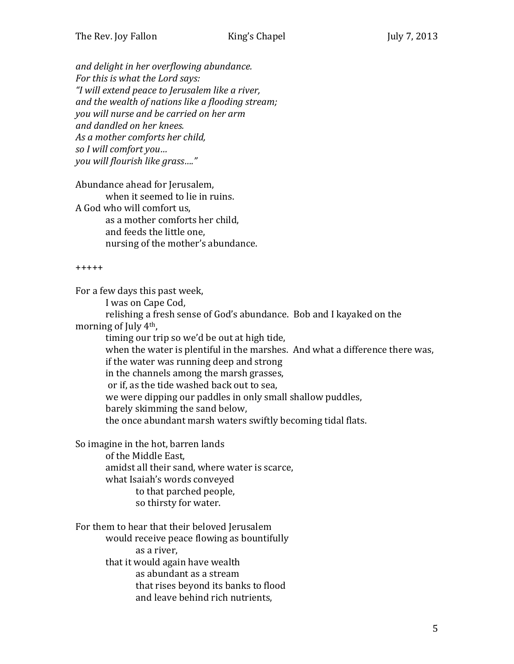*and delight in her overflowing abundance. For this is what the Lord says: "I will extend peace to Jerusalem like a river, and the wealth of nations like a flooding stream; you will nurse and be carried on her arm and dandled on her knees. As a mother comforts her child, so I will comfort you… you will flourish like grass…."*

Abundance ahead for Jerusalem, when it seemed to lie in ruins. A God who will comfort us, as a mother comforts her child, and feeds the little one, nursing of the mother's abundance.

+++++

For a few days this past week,

I was on Cape Cod,

relishing a fresh sense of God's abundance. Bob and I kayaked on the morning of July 4th,

timing our trip so we'd be out at high tide, when the water is plentiful in the marshes. And what a difference there was, if the water was running deep and strong in the channels among the marsh grasses, or if, as the tide washed back out to sea, we were dipping our paddles in only small shallow puddles, barely skimming the sand below, the once abundant marsh waters swiftly becoming tidal flats.

So imagine in the hot, barren lands of the Middle East, amidst all their sand, where water is scarce, what Isaiah's words conveyed to that parched people, so thirsty for water.

For them to hear that their beloved Jerusalem would receive peace flowing as bountifully as a river, that it would again have wealth as abundant as a stream that rises beyond its banks to flood and leave behind rich nutrients,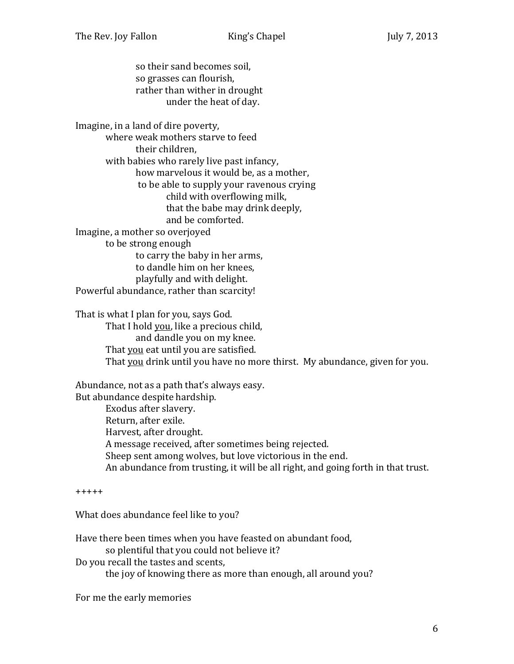so their sand becomes soil, so grasses can flourish, rather than wither in drought under the heat of day.

Imagine, in a land of dire poverty, where weak mothers starve to feed their children, with babies who rarely live past infancy, how marvelous it would be, as a mother, to be able to supply your ravenous crying child with overflowing milk, that the babe may drink deeply, and be comforted. Imagine, a mother so overjoyed to be strong enough to carry the baby in her arms, to dandle him on her knees, playfully and with delight. Powerful abundance, rather than scarcity!

That is what I plan for you, says God. That I hold you, like a precious child, and dandle you on my knee. That you eat until you are satisfied. That you drink until you have no more thirst. My abundance, given for you.

Abundance, not as a path that's always easy. But abundance despite hardship. Exodus after slavery. Return, after exile. Harvest, after drought. A message received, after sometimes being rejected. Sheep sent among wolves, but love victorious in the end. An abundance from trusting, it will be all right, and going forth in that trust.

+++++

What does abundance feel like to you?

Have there been times when you have feasted on abundant food, so plentiful that you could not believe it? Do you recall the tastes and scents, the joy of knowing there as more than enough, all around you?

For me the early memories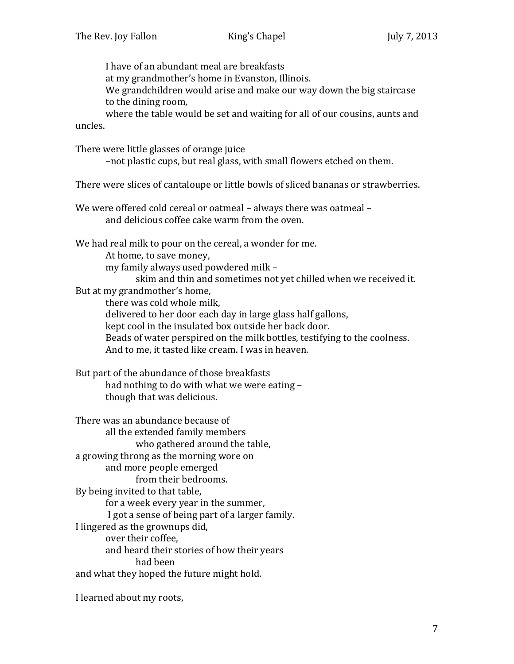I have of an abundant meal are breakfasts at my grandmother's home in Evanston, Illinois. We grandchildren would arise and make our way down the big staircase to the dining room, where the table would be set and waiting for all of our cousins, aunts and uncles.

There were little glasses of orange juice

–not plastic cups, but real glass, with small flowers etched on them.

There were slices of cantaloupe or little bowls of sliced bananas or strawberries.

We were offered cold cereal or oatmeal – always there was oatmeal – and delicious coffee cake warm from the oven.

We had real milk to pour on the cereal, a wonder for me. At home, to save money, my family always used powdered milk – skim and thin and sometimes not yet chilled when we received it. But at my grandmother's home, there was cold whole milk, delivered to her door each day in large glass half gallons,

kept cool in the insulated box outside her back door. Beads of water perspired on the milk bottles, testifying to the coolness. And to me, it tasted like cream. I was in heaven.

But part of the abundance of those breakfasts had nothing to do with what we were eating – though that was delicious.

There was an abundance because of all the extended family members who gathered around the table, a growing throng as the morning wore on and more people emerged from their bedrooms. By being invited to that table, for a week every year in the summer, I got a sense of being part of a larger family. I lingered as the grownups did, over their coffee, and heard their stories of how their years had been and what they hoped the future might hold.

I learned about my roots,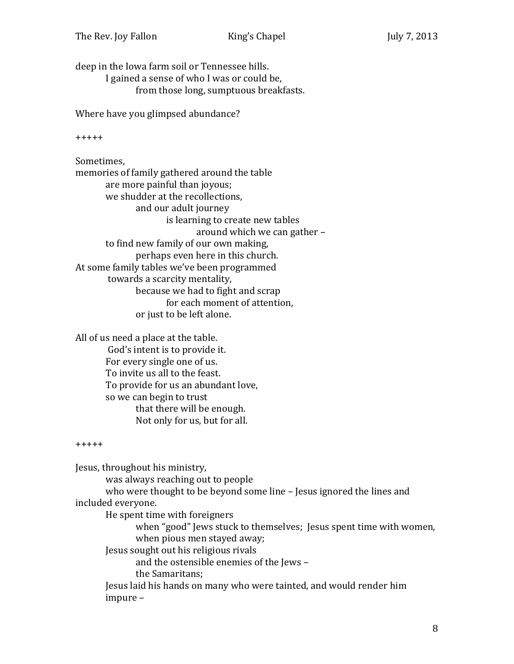deep in the Iowa farm soil or Tennessee hills. I gained a sense of who I was or could be, from those long, sumptuous breakfasts.

Where have you glimpsed abundance?

+++++

Sometimes, memories of family gathered around the table are more painful than joyous; we shudder at the recollections, and our adult journey is learning to create new tables around which we can gather – to find new family of our own making, perhaps even here in this church. At some family tables we've been programmed towards a scarcity mentality, because we had to fight and scrap for each moment of attention, or just to be left alone.

All of us need a place at the table. God's intent is to provide it. For every single one of us. To invite us all to the feast. To provide for us an abundant love, so we can begin to trust that there will be enough. Not only for us, but for all.

## +++++

Jesus, throughout his ministry, was always reaching out to people who were thought to be beyond some line – Jesus ignored the lines and included everyone. He spent time with foreigners when "good" Jews stuck to themselves; Jesus spent time with women, when pious men stayed away; Jesus sought out his religious rivals and the ostensible enemies of the Jews – the Samaritans; Jesus laid his hands on many who were tainted, and would render him impure –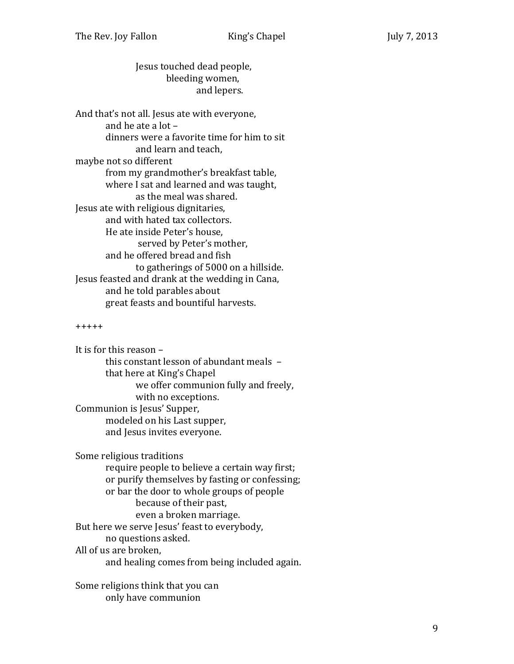Jesus touched dead people, bleeding women, and lepers.

And that's not all. Jesus ate with everyone, and he ate a lot – dinners were a favorite time for him to sit and learn and teach, maybe not so different from my grandmother's breakfast table, where I sat and learned and was taught, as the meal was shared. Jesus ate with religious dignitaries, and with hated tax collectors. He ate inside Peter's house, served by Peter's mother, and he offered bread and fish to gatherings of 5000 on a hillside. Jesus feasted and drank at the wedding in Cana, and he told parables about great feasts and bountiful harvests.

## +++++

It is for this reason – this constant lesson of abundant meals – that here at King's Chapel we offer communion fully and freely, with no exceptions. Communion is Jesus' Supper, modeled on his Last supper, and Jesus invites everyone.

Some religious traditions require people to believe a certain way first; or purify themselves by fasting or confessing; or bar the door to whole groups of people because of their past, even a broken marriage. But here we serve Jesus' feast to everybody, no questions asked. All of us are broken, and healing comes from being included again.

Some religions think that you can only have communion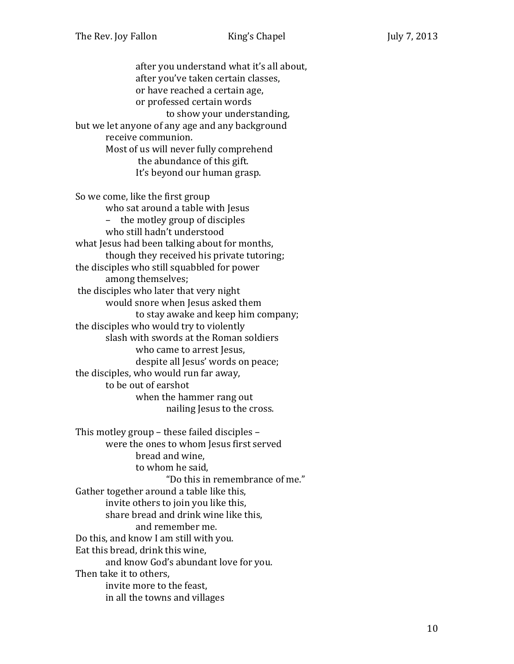after you understand what it's all about, after you've taken certain classes, or have reached a certain age, or professed certain words to show your understanding, but we let anyone of any age and any background receive communion. Most of us will never fully comprehend the abundance of this gift. It's beyond our human grasp.

So we come, like the first group who sat around a table with Jesus – the motley group of disciples who still hadn't understood what Jesus had been talking about for months, though they received his private tutoring; the disciples who still squabbled for power among themselves; the disciples who later that very night would snore when Jesus asked them to stay awake and keep him company; the disciples who would try to violently slash with swords at the Roman soldiers who came to arrest Jesus, despite all Jesus' words on peace; the disciples, who would run far away, to be out of earshot when the hammer rang out nailing Jesus to the cross.

This motley group – these failed disciples – were the ones to whom Jesus first served bread and wine, to whom he said, "Do this in remembrance of me." Gather together around a table like this, invite others to join you like this, share bread and drink wine like this, and remember me. Do this, and know I am still with you. Eat this bread, drink this wine, and know God's abundant love for you. Then take it to others, invite more to the feast, in all the towns and villages